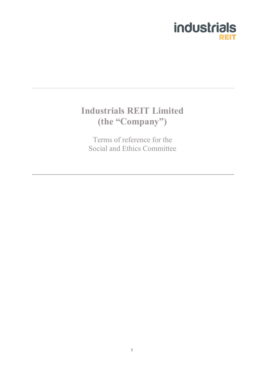

# **Industrials REIT Limited (the "Company")**

Terms of reference for the Social and Ethics Committee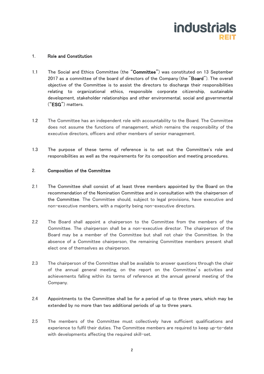

#### 1. Role and Constitution

- 1.1 The Social and Ethics Committee (the "Committee") was constituted on 13 September 2017 as a committee of the board of directors of the Company (the "Board"). The overall objective of the Committee is to assist the directors to discharge their responsibilities relating to organizational ethics, responsible corporate citizenship, sustainable development, stakeholder relationships and other environmental, social and governmental ("ESG") matters.
- 1.2 The Committee has an independent role with accountability to the Board. The Committee does not assume the functions of management, which remains the responsibility of the executive directors, officers and other members of senior management.
- 1.3 The purpose of these terms of reference is to set out the Committee's role and responsibilities as well as the requirements for its composition and meeting procedures.

## 2. Composition of the Committee

- 2.1 The Committee shall consist of at least three members appointed by the Board on the recommendation of the Nomination Committee and in consultation with the chairperson of the Committee. The Committee should, subject to legal provisions, have executive and non-executive members, with a majority being non-executive directors.
- 2.2 The Board shall appoint a chairperson to the Committee from the members of the Committee. The chairperson shall be a non-executive director. The chairperson of the Board may be a member of the Committee but shall not chair the Committee. In the absence of a Committee chairperson, the remaining Committee members present shall elect one of themselves as chairperson.
- 2.3 The chairperson of the Committee shall be available to answer questions through the chair of the annual general meeting, on the report on the Committee's activities and achievements falling within its terms of reference at the annual general meeting of the Company.
- 2.4 Appointments to the Committee shall be for a period of up to three years, which may be extended by no more than two additional periods of up to three years.
- 2.5 The members of the Committee must collectively have sufficient qualifications and experience to fulfil their duties. The Committee members are required to keep up-to-date with developments affecting the required skill-set.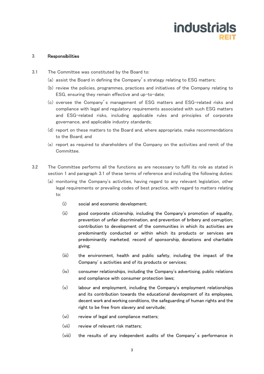

### 3. Responsibilities

- 3.1 The Committee was constituted by the Board to:
	- (a) assist the Board in defining the Company's strategy relating to ESG matters;
	- (b) review the policies, programmes, practices and initiatives of the Company relating to ESG, ensuring they remain effective and up-to-date;
	- (c) oversee the Company's management of ESG matters and ESG-related risks and compliance with legal and regulatory requirements associated with such ESG matters and ESG-related risks, including applicable rules and principles of corporate governance, and applicable industry standards;
	- (d) report on these matters to the Board and, where appropriate, make recommendations to the Board; and
	- (e) report as required to shareholders of the Company on the activities and remit of the Committee.
- 3.2 The Committee performs all the functions as are necessary to fulfil its role as stated in section 1 and paragraph 3.1 of these terms of reference and including the following duties:
	- (a) monitoring the Company's activities, having regard to any relevant legislation, other legal requirements or prevailing codes of best practice, with regard to matters relating to:
		- (i) social and economic development;
		- (ii) good corporate citizenship, including the Company's promotion of equality, prevention of unfair discrimination, and prevention of bribery and corruption; contribution to development of the communities in which its activities are predominantly conducted or within which its products or services are predominantly marketed; record of sponsorship, donations and charitable giving;
		- (iii) the environment, health and public safety, including the impact of the Company' s activities and of its products or services;
		- (iv) consumer relationships, including the Company's advertising, public relations and compliance with consumer protection laws;
		- (v) labour and employment, including the Company's employment relationships and its contribution towards the educational development of its employees, decent work and working conditions, the safeguarding of human rights and the right to be free from slavery and servitude;
		- (vi) review of legal and compliance matters;
		- (vii) review of relevant risk matters;
		- (viii) the results of any independent audits of the Company's performance in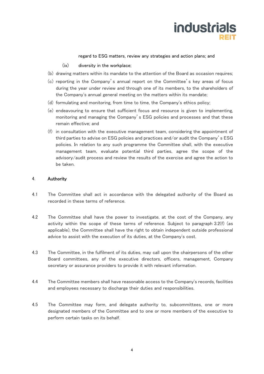# **industrials**

#### regard to ESG matters, review any strategies and action plans; and

#### (ix) diversity in the workplace;

- (b) drawing matters within its mandate to the attention of the Board as occasion requires;
- (c) reporting in the Company's annual report on the Committee's key areas of focus during the year under review and through one of its members, to the shareholders of the Company's annual general meeting on the matters within its mandate;
- (d) formulating and monitoring, from time to time, the Company's ethics policy;
- (e) endeavouring to ensure that sufficient focus and resource is given to implementing, monitoring and managing the Company's ESG policies and processes and that these remain effective; and
- (f) in consultation with the executive management team, considering the appointment of third parties to advise on ESG policies and practices and/or audit the Company's ESG policies. In relation to any such programme the Committee shall, with the executive management team, evaluate potential third parties, agree the scope of the advisory/audit process and review the results of the exercise and agree the action to be taken.

## 4. Authority

- 4.1 The Committee shall act in accordance with the delegated authority of the Board as recorded in these terms of reference.
- 4.2 The Committee shall have the power to investigate, at the cost of the Company, any activity within the scope of these terms of reference. Subject to paragraph 3.2(f) (as applicable), the Committee shall have the right to obtain independent outside professional advice to assist with the execution of its duties, at the Company's cost.
- 4.3 The Committee, in the fulfilment of its duties, may call upon the chairpersons of the other Board committees, any of the executive directors, officers, management, Company secretary or assurance providers to provide it with relevant information.
- 4.4 The Committee members shall have reasonable access to the Company's records, facilities and employees necessary to discharge their duties and responsibilities.
- 4.5 The Committee may form, and delegate authority to, subcommittees, one or more designated members of the Committee and to one or more members of the executive to perform certain tasks on its behalf.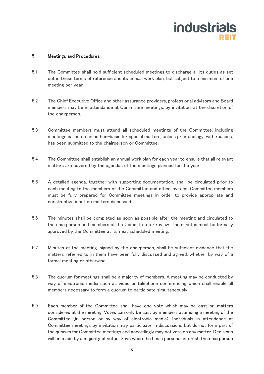# **industrials**

## 5. Meetings and Procedures

- 5.1 The Committee shall hold sufficient scheduled meetings to discharge all its duties as set out in these terms of reference and its annual work plan, but subject to a minimum of one meeting per year.
- 5.2 The Chief Executive Office and other assurance providers, professional advisors and Board members may be in attendance at Committee meetings, by invitation, at the discretion of the chairperson.
- 5.3 Committee members must attend all scheduled meetings of the Committee, including meetings called on an ad hoc-basis for special matters, unless prior apology, with reasons, has been submitted to the chairperson or Committee.
- 5.4 The Committee shall establish an annual work plan for each year to ensure that all relevant matters are covered by the agendas of the meetings planned for the year.
- 5.5 A detailed agenda, together with supporting documentation, shall be circulated prior to each meeting to the members of the Committee and other invitees. Committee members must be fully prepared for Committee meetings in order to provide appropriate and constructive input on matters discussed.
- 5.6 The minutes shall be completed as soon as possible after the meeting and circulated to the chairperson and members of the Committee for review. The minutes must be formally approved by the Committee at its next scheduled meeting.
- 5.7 Minutes of the meeting, signed by the chairperson, shall be sufficient evidence that the matters referred to in them have been fully discussed and agreed, whether by way of a formal meeting or otherwise.
- 5.8 The quorum for meetings shall be a majority of members. A meeting may be conducted by way of electronic media such as video or telephone conferencing which shall enable all members necessary to form a quorum to participate simultaneously.
- 5.9 Each member of the Committee shall have one vote which may be cast on matters considered at the meeting. Votes can only be cast by members attending a meeting of the Committee (in person or by way of electronic media). Individuals in attendance at Committee meetings by invitation may participate in discussions but do not form part of the quorum for Committee meetings and accordingly may not vote on any matter. Decisions will be made by a majority of votes. Save where he has a personal interest, the chairperson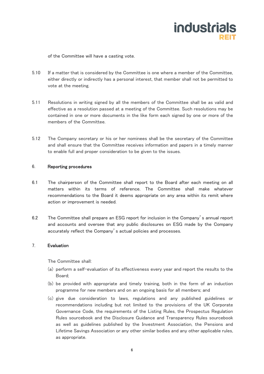# **industrials**

of the Committee will have a casting vote.

- 5.10 If a matter that is considered by the Committee is one where a member of the Committee, either directly or indirectly has a personal interest, that member shall not be permitted to vote at the meeting.
- 5.11 Resolutions in writing signed by all the members of the Committee shall be as valid and effective as a resolution passed at a meeting of the Committee. Such resolutions may be contained in one or more documents in the like form each signed by one or more of the members of the Committee.
- 5.12 The Company secretary or his or her nominees shall be the secretary of the Committee and shall ensure that the Committee receives information and papers in a timely manner to enable full and proper consideration to be given to the issues.

#### 6. Reporting procedures

- 6.1 The chairperson of the Committee shall report to the Board after each meeting on all matters within its terms of reference. The Committee shall make whatever recommendations to the Board it deems appropriate on any area within its remit where action or improvement is needed.
- 6.2 The Committee shall prepare an ESG report for inclusion in the Company's annual report and accounts and oversee that any public disclosures on ESG made by the Company accurately reflect the Company's actual policies and processes.

#### 7. Evaluation

The Committee shall:

- (a) perform a self-evaluation of its effectiveness every year and report the results to the Board;
- (b) be provided with appropriate and timely training, both in the form of an induction programme for new members and on an ongoing basis for all members; and
- (c) give due consideration to laws, regulations and any published guidelines or recommendations including but not limited to the provisions of the UK Corporate Governance Code, the requirements of the Listing Rules, the Prospectus Regulation Rules sourcebook and the Disclosure Guidance and Transparency Rules sourcebook as well as guidelines published by the Investment Association, the Pensions and Lifetime Savings Association or any other similar bodies and any other applicable rules, as appropriate.